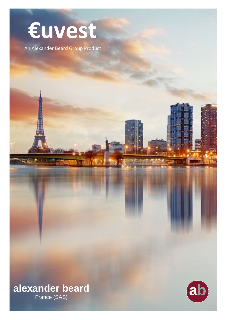# Euvest

An Alexander Beard Group Product

alexander beard France (SAS)

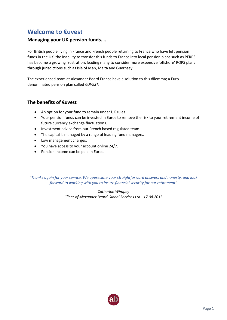# **Welcome to €uvest**

## **Managing your UK pension funds.…**

For British people living in France and French people returning to France who have left pension funds in the UK, the inability to transfer this funds to France into local pension plans such as PERPS has become a growing frustration, leading many to consider more expensive 'offshore' ROPS plans through jurisdictions such as Isle of Man, Malta and Guernsey.

The experienced team at Alexander Beard France have a solution to this dilemma; a Euro denominated pension plan called *€UVEST*.

# **The benefits of €uvest**

- An option for your fund to remain under UK rules.
- Your pension funds can be invested in Euros to remove the risk to your retirement income of future currency exchange fluctuations.
- Investment advice from our French based regulated team.
- The capital is managed by a range of leading fund managers.
- Low management charges.
- You have access to your account online 24/7.
- Pension income can be paid in Euros.

*"Thanks again for your service. We appreciate your straightforward answers and honesty, and look forward to working with you to insure financial security for our retirement"*

> *Catherine Wimpey Client of Alexander Beard Global Services Ltd - 17.08.2013*

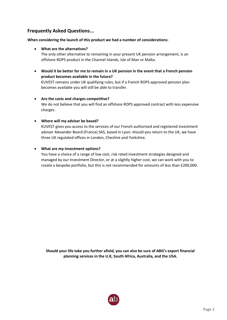# **Frequently Asked Questions...**

## **When considering the launch of this product we had a number of considerations:**

## • **What are the alternatives?**

The only other alternative to remaining in your present UK pension arrangement, is an offshore ROPS product in the Channel Islands, Isle of Man or Malta.

• **Would it be better for me to remain in a UK pension in the event that a French pension product becomes available in the future?**

€UVEST remains under UK qualifying rules, but if a French ROPS approved pension plan becomes available you will still be able to transfer.

## • **Are the costs and charges competitive?**

We do not believe that you will find an offshore ROPS approved contract with less expensive charges.

## • **Where will my adviser be based?**

€UVEST gives you access to the services of our French authorised and registered investment adviser Alexander Beard (France) SAS, based in Lyon: should you return to the UK, we have three UK regulated offices in London, Cheshire and Yorkshire.

## • **What are my investment options?**

You have a choice of a range of low cost, risk rated investment strategies designed and managed by our Investment Director, or at a slightly higher cost, we can work with you to create a bespoke portfolio, but this is not recommended for amounts of less than £200,000.

**Should your life take you further afield, you can also be sure of ABG's expert financial planning services in the U.K, South Africa, Australia, and the USA.**

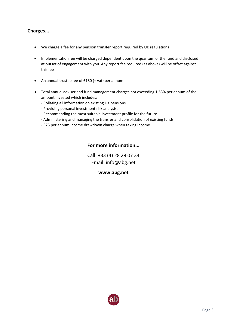# **Charges...**

- We charge a fee for any pension transfer report required by UK regulations
- Implementation fee will be charged dependent upon the quantum of the fund and disclosed at outset of engagement with you. Any report fee required (as above) will be offset against this fee
- An annual trustee fee of £180 (+ vat) per annum
- Total annual adviser and fund management charges not exceeding 1.53% per annum of the amount invested which includes:
	- Collating all information on existing UK pensions.
	- Providing personal investment risk analysis.
	- Recommending the most suitable investment profile for the future.
	- Administering and managing the transfer and consolidation of existing funds.
	- £75 per annum income drawdown charge when taking income.

# **For more information...**

Call: +33 (4) 28 29 07 34 Email: info@abg.net

# **[www.abg.net](http://www.abg.net/)**